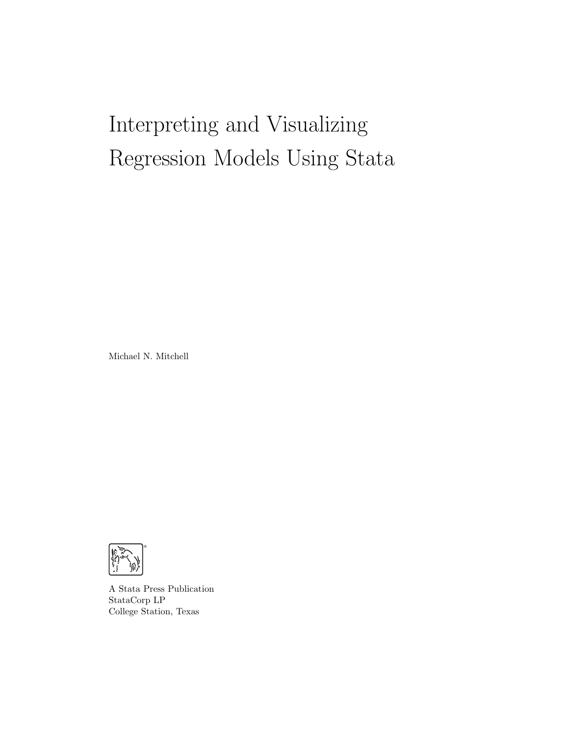# Interpreting and Visualizing Regression Models Using Stata

Michael N. Mitchell



A Stata Press Publication StataCorp LP College Station, Texas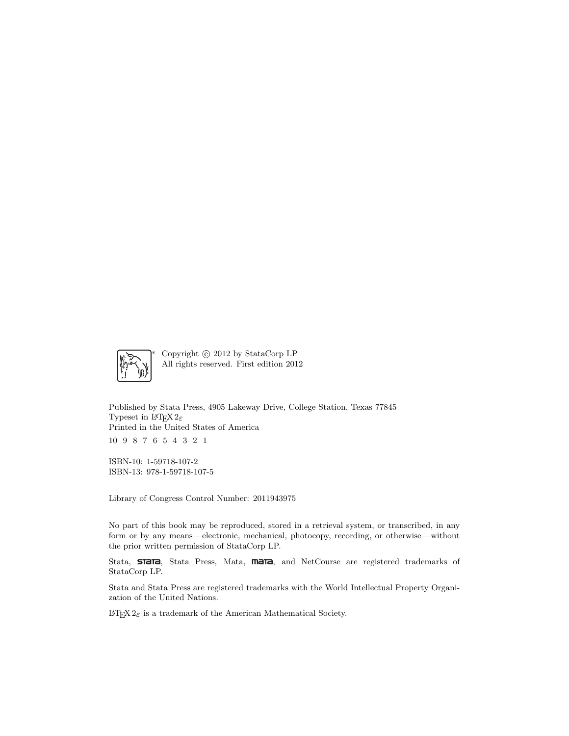

Copyright  $\odot$  2012 by StataCorp LP All rights reserved. First edition 2012

Published by Stata Press, 4905 Lakeway Drive, College Station, Texas 77845 Typeset in L<sup>AT</sup>FX  $2\varepsilon$ Printed in the United States of America 10 9 8 7 6 5 4 3 2 1

ISBN-10: 1-59718-107-2 ISBN-13: 978-1-59718-107-5

Library of Congress Control Number: 2011943975

No part of this book may be reproduced, stored in a retrieval system, or transcribed, in any form or by any means—electronic, mechanical, photocopy, recording, or otherwise—without the prior written permission of StataCorp LP.

Stata, **STaTa**, Stata Press, Mata, **mata**, and NetCourse are registered trademarks of StataCorp LP.

Stata and Stata Press are registered trademarks with the World Intellectual Property Organization of the United Nations.

 $\mathbb{F}\to \mathbb{F}$ 2 $\varepsilon$  is a trademark of the American Mathematical Society.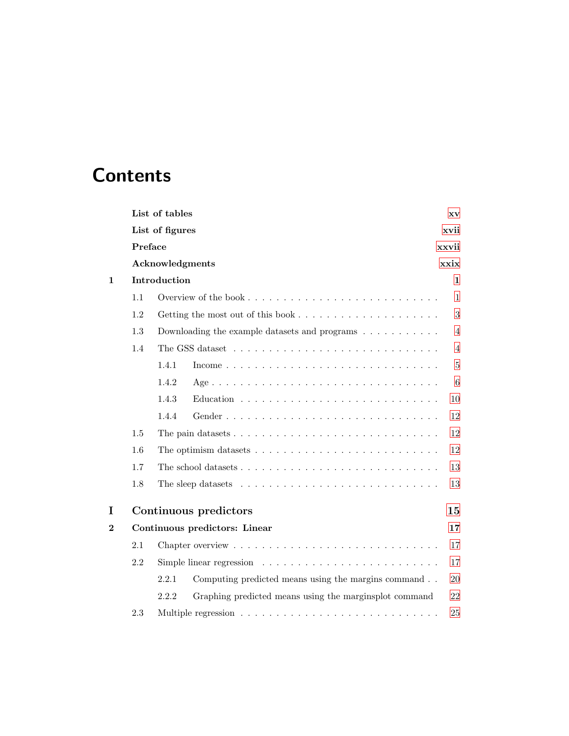## **Contents**

|                | List of tables  |                         |                                                                                         |                 |  |  |  |
|----------------|-----------------|-------------------------|-----------------------------------------------------------------------------------------|-----------------|--|--|--|
|                |                 | List of figures<br>xvii |                                                                                         |                 |  |  |  |
|                | Preface         |                         | xxvii                                                                                   |                 |  |  |  |
|                | Acknowledgments |                         |                                                                                         |                 |  |  |  |
| 1              |                 | Introduction            |                                                                                         |                 |  |  |  |
|                | 1.1             |                         |                                                                                         | $\mathbf{1}$    |  |  |  |
|                | 1.2             |                         | Getting the most out of this book $\dots \dots \dots \dots \dots \dots \dots$           | 3               |  |  |  |
|                | 1.3             |                         | Downloading the example datasets and programs $\ldots \ldots \ldots$                    | $\overline{4}$  |  |  |  |
|                | 1.4             |                         |                                                                                         | $\overline{4}$  |  |  |  |
|                |                 | 1.4.1                   |                                                                                         | $\overline{5}$  |  |  |  |
|                |                 | 1.4.2                   |                                                                                         | $6\phantom{.}6$ |  |  |  |
|                |                 | 1.4.3                   |                                                                                         | 10              |  |  |  |
|                |                 | 1.4.4                   |                                                                                         | 12              |  |  |  |
|                | 1.5             |                         |                                                                                         | 12              |  |  |  |
|                | 1.6             |                         | The optimism datasets $\ldots \ldots \ldots \ldots \ldots \ldots \ldots \ldots \ldots$  | 12              |  |  |  |
|                | 1.7             |                         | The school datasets $\dots \dots \dots \dots \dots \dots \dots \dots \dots \dots \dots$ | 13              |  |  |  |
|                | 1.8             |                         | The sleep datasets $\dots \dots \dots \dots \dots \dots \dots \dots \dots \dots \dots$  | 13              |  |  |  |
| I              |                 |                         | Continuous predictors                                                                   | 15              |  |  |  |
| $\overline{2}$ |                 |                         | Continuous predictors: Linear                                                           | 17              |  |  |  |
|                | 2.1             |                         |                                                                                         | 17              |  |  |  |
|                | 2.2             |                         | Simple linear regression $\ldots \ldots \ldots \ldots \ldots \ldots \ldots \ldots$      | 17              |  |  |  |
|                |                 | 2.2.1                   | Computing predicted means using the margins command                                     | 20              |  |  |  |
|                |                 | 2.2.2                   | Graphing predicted means using the marginsplot command                                  | 22              |  |  |  |
|                | 2.3             |                         |                                                                                         | 25              |  |  |  |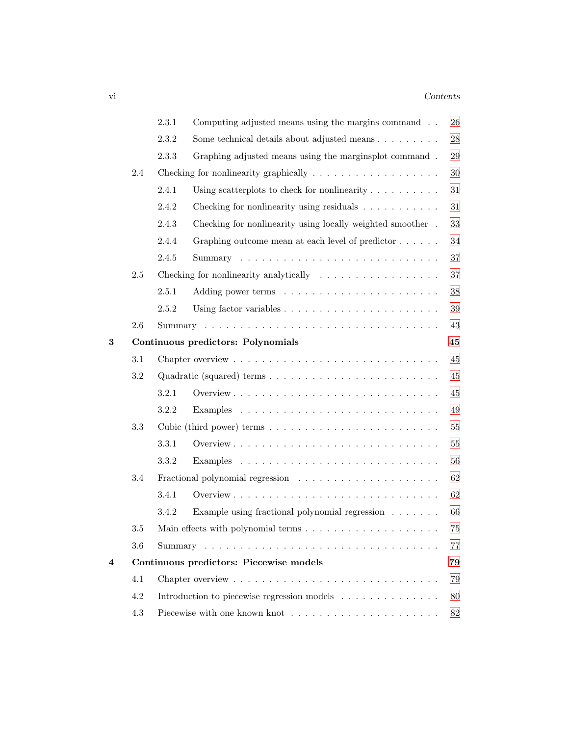### vi *Contents*

|   |     | 2.3.1 | Computing adjusted means using the margins command                                                                      | 26     |
|---|-----|-------|-------------------------------------------------------------------------------------------------------------------------|--------|
|   |     | 2.3.2 | Some technical details about adjusted means                                                                             | 28     |
|   |     | 2.3.3 | Graphing adjusted means using the marginsplot command.                                                                  | 29     |
|   | 2.4 |       | Checking for nonlinearity graphically $\dots \dots \dots \dots \dots \dots$                                             | 30     |
|   |     | 2.4.1 | Using scatterplots to check for nonlinearity $\dots \dots \dots$                                                        | $31\,$ |
|   |     | 2.4.2 | Checking for nonlinearity using residuals $\ldots \ldots \ldots$                                                        | $31\,$ |
|   |     | 2.4.3 | Checking for nonlinearity using locally weighted smoother.                                                              | $33\,$ |
|   |     | 2.4.4 | Graphing outcome mean at each level of predictor                                                                        | 34     |
|   |     | 2.4.5 |                                                                                                                         | $37\,$ |
|   | 2.5 |       | Checking for nonlinearity analytically $\ldots \ldots \ldots \ldots \ldots$                                             | $37\,$ |
|   |     | 2.5.1 |                                                                                                                         | $38\,$ |
|   |     | 2.5.2 |                                                                                                                         | $39\,$ |
|   | 2.6 |       |                                                                                                                         | 43     |
| 3 |     |       | Continuous predictors: Polynomials                                                                                      | 45     |
|   | 3.1 |       |                                                                                                                         | 45     |
|   | 3.2 |       | Quadratic (squared) terms $\ldots \ldots \ldots \ldots \ldots \ldots \ldots \ldots$                                     | 45     |
|   |     | 3.2.1 | $0$ verview $\ldots$ $\ldots$ $\ldots$ $\ldots$ $\ldots$ $\ldots$ $\ldots$ $\ldots$ $\ldots$ $\ldots$ $\ldots$ $\ldots$ | 45     |
|   |     | 3.2.2 |                                                                                                                         | 49     |
|   | 3.3 |       |                                                                                                                         | 55     |
|   |     | 3.3.1 |                                                                                                                         | $55\,$ |
|   |     | 3.3.2 |                                                                                                                         | 56     |
|   | 3.4 |       |                                                                                                                         | 62     |
|   |     | 3.4.1 | $0$ verview $\ldots$ $\ldots$ $\ldots$ $\ldots$ $\ldots$ $\ldots$ $\ldots$ $\ldots$ $\ldots$ $\ldots$ $\ldots$ $\ldots$ | 62     |
|   |     | 3.4.2 | Example using fractional polynomial regression                                                                          | 66     |
|   | 3.5 |       | Main effects with polynomial terms                                                                                      | 75     |
|   | 3.6 |       |                                                                                                                         | 77     |
| 4 |     |       | Continuous predictors: Piecewise models                                                                                 | 79     |
|   | 4.1 |       |                                                                                                                         | 79     |
|   | 4.2 |       | Introduction to piecewise regression models                                                                             | 80     |
|   | 4.3 |       | Piecewise with one known knot $\ldots \ldots \ldots \ldots \ldots \ldots \ldots$                                        | 82     |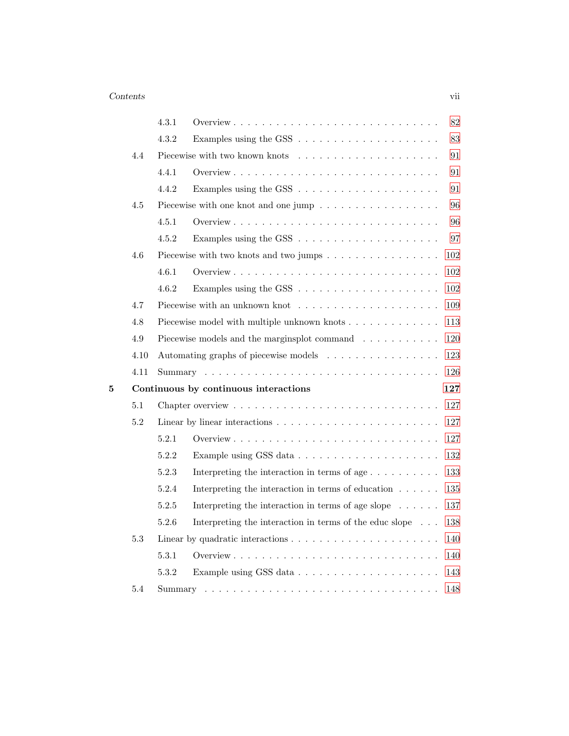### *Contents* vii

|   |         | 4.3.1   | $\alpha$                                                                                                                       | 82 |
|---|---------|---------|--------------------------------------------------------------------------------------------------------------------------------|----|
|   |         | 4.3.2   |                                                                                                                                | 83 |
|   | 4.4     |         | Piecewise with two known knots $\dots \dots \dots \dots \dots \dots \dots \dots$                                               | 91 |
|   |         | 4.4.1   |                                                                                                                                | 91 |
|   |         | 4.4.2   | Examples using the GSS $\dots \dots \dots \dots \dots \dots \dots$                                                             | 91 |
|   | 4.5     |         | Piecewise with one knot and one jump $\dots \dots \dots \dots \dots \dots$                                                     | 96 |
|   |         | 4.5.1   |                                                                                                                                | 96 |
|   |         | 4.5.2   |                                                                                                                                | 97 |
|   | 4.6     |         | 102<br>Piecewise with two knots and two jumps $\dots \dots \dots \dots \dots$                                                  |    |
|   |         | 4.6.1   | 102                                                                                                                            |    |
|   |         | 4.6.2   | 102                                                                                                                            |    |
|   | 4.7     |         | 109<br>Piecewise with an unknown knot $\dots \dots \dots \dots \dots \dots \dots \dots$                                        |    |
|   | 4.8     |         | 113<br>Piecewise model with multiple unknown knots                                                                             |    |
|   | $4.9\,$ |         | 120<br>Piecewise models and the marginsplot command $\ldots \ldots \ldots$                                                     |    |
|   | 4.10    |         | Automating graphs of piecewise models<br>123                                                                                   |    |
|   | 4.11    |         | 126                                                                                                                            |    |
| 5 |         |         | 127<br>Continuous by continuous interactions                                                                                   |    |
|   | 5.1     |         | 127                                                                                                                            |    |
|   | $5.2\,$ |         | 127                                                                                                                            |    |
|   |         | 5.2.1   | 127                                                                                                                            |    |
|   |         | 5.2.2   | 132                                                                                                                            |    |
|   |         | 5.2.3   | 133<br>Interpreting the interaction in terms of age                                                                            |    |
|   |         | 5.2.4   | 135<br>Interpreting the interaction in terms of education $\hfill\ldots\ldots$ .                                               |    |
|   |         | 5.2.5   | 137<br>Interpreting the interaction in terms of age slope $\ldots \ldots$                                                      |    |
|   |         | 5.2.6   | 138<br>Interpreting the interaction in terms of the educ slope                                                                 |    |
|   | 5.3     |         | 140<br>Linear by quadratic interactions $\dots \dots \dots \dots \dots \dots \dots \dots$                                      |    |
|   |         | 5.3.1   | 140<br>$0$ verview $\ldots$ $\ldots$ $\ldots$ $\ldots$ $\ldots$ $\ldots$ $\ldots$ $\ldots$ $\ldots$ $\ldots$ $\ldots$ $\ldots$ |    |
|   |         | 5.3.2   | 143                                                                                                                            |    |
|   | 5.4     | Summary | 148                                                                                                                            |    |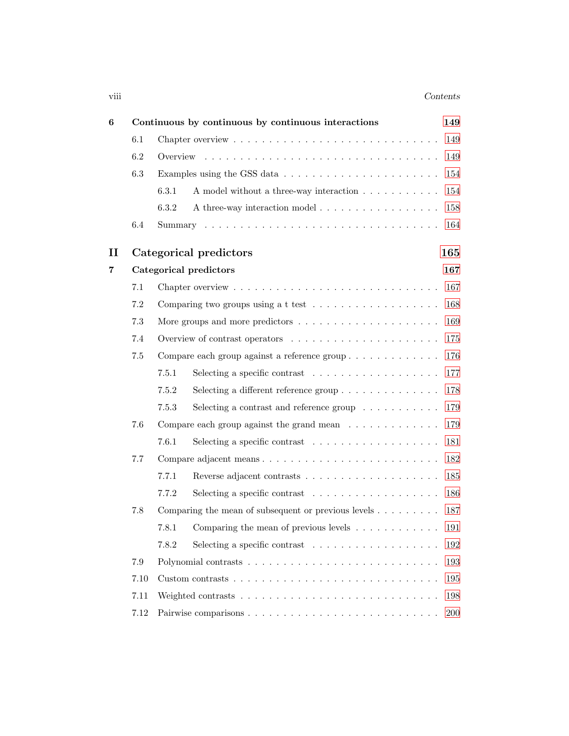### viii *Contents*

| 6        |         |       | Continuous by continuous by continuous interactions                            | 149 |
|----------|---------|-------|--------------------------------------------------------------------------------|-----|
|          | 6.1     |       |                                                                                | 149 |
|          | 6.2     |       |                                                                                | 149 |
|          | 6.3     |       | Examples using the GSS data $\ldots \ldots \ldots \ldots \ldots \ldots \ldots$ | 154 |
|          |         | 6.3.1 |                                                                                | 154 |
|          |         | 6.3.2 | A three-way interaction model                                                  | 158 |
|          | 6.4     |       |                                                                                | 164 |
| $\rm II$ |         |       | Categorical predictors                                                         | 165 |
| 7        |         |       | Categorical predictors                                                         | 167 |
|          | $7.1\,$ |       |                                                                                | 167 |
|          | 7.2     |       | Comparing two groups using a t test $\ldots \ldots \ldots \ldots \ldots$       | 168 |
|          | 7.3     |       | More groups and more predictors $\dots \dots \dots \dots \dots \dots \dots$    | 169 |
|          | 7.4     |       |                                                                                | 175 |
|          | 7.5     |       | Compare each group against a reference group                                   | 176 |
|          |         | 7.5.1 | Selecting a specific contrast $\dots \dots \dots \dots \dots \dots$            | 177 |
|          |         | 7.5.2 |                                                                                | 178 |
|          |         | 7.5.3 | Selecting a contrast and reference group $\ldots \ldots \ldots$                | 179 |
|          | 7.6     |       | Compare each group against the grand mean $\dots \dots \dots \dots$            | 179 |
|          |         | 7.6.1 | Selecting a specific contrast $\ldots \ldots \ldots \ldots \ldots$             | 181 |
|          | 7.7     |       | Compare adjacent means                                                         | 182 |
|          |         | 7.7.1 |                                                                                | 185 |
|          |         | 7.7.2 | Selecting a specific contrast $\dots \dots \dots \dots \dots \dots$            | 186 |
|          | 7.8     |       | Comparing the mean of subsequent or previous levels $\dots \dots$              | 187 |
|          |         | 7.8.1 | Comparing the mean of previous levels $\dots \dots \dots \dots$                | 191 |
|          |         | 7.8.2 | Selecting a specific contrast $\dots \dots \dots \dots \dots \dots$            | 192 |
|          | 7.9     |       |                                                                                | 193 |
|          | 7.10    |       |                                                                                | 195 |
|          | 7.11    |       |                                                                                | 198 |
|          | 7.12    |       |                                                                                | 200 |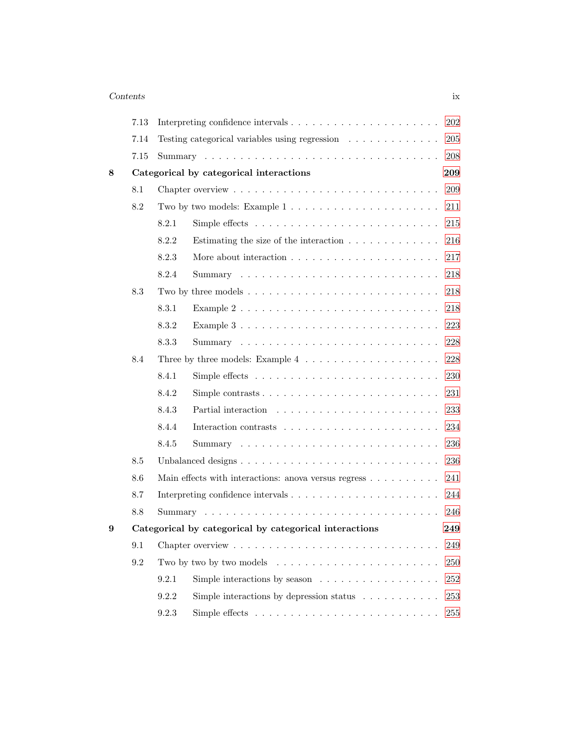### *Contents* ix

|   | 7.13 |       | 202                                                                                            |
|---|------|-------|------------------------------------------------------------------------------------------------|
|   | 7.14 |       | Testing categorical variables using regression<br>205                                          |
|   | 7.15 |       | 208                                                                                            |
| 8 |      |       | 209<br>Categorical by categorical interactions                                                 |
|   | 8.1  |       | 209                                                                                            |
|   | 8.2  |       | 211                                                                                            |
|   |      | 8.2.1 | Simple effects $\ldots \ldots \ldots \ldots \ldots \ldots \ldots \ldots$<br>215                |
|   |      | 8.2.2 | 216<br>Estimating the size of the interaction $\ldots \ldots \ldots \ldots$                    |
|   |      | 8.2.3 | 217                                                                                            |
|   |      | 8.2.4 | 218                                                                                            |
|   | 8.3  |       | Two by three models $\dots \dots \dots \dots \dots \dots \dots \dots \dots \dots \dots$<br>218 |
|   |      | 8.3.1 | Example $2 \ldots \ldots \ldots \ldots \ldots \ldots \ldots \ldots \ldots \ldots$<br>218       |
|   |      | 8.3.2 | 223                                                                                            |
|   |      | 8.3.3 | 228                                                                                            |
|   | 8.4  |       | Three by three models: Example $4 \ldots \ldots \ldots \ldots \ldots \ldots$<br>228            |
|   |      | 8.4.1 | Simple effects $\ldots \ldots \ldots \ldots \ldots \ldots \ldots \ldots$<br>230                |
|   |      | 8.4.2 | Simple contrasts $\dots \dots \dots \dots \dots \dots \dots \dots \dots$<br>231                |
|   |      | 8.4.3 | 233                                                                                            |
|   |      | 8.4.4 | 234                                                                                            |
|   |      | 8.4.5 | 236                                                                                            |
|   | 8.5  |       | 236                                                                                            |
|   | 8.6  |       | Main effects with interactions: anova versus regress $\dots \dots \dots$<br>241                |
|   | 8.7  |       | 244                                                                                            |
|   | 8.8  |       | 246                                                                                            |
| 9 |      |       | Categorical by categorical by categorical interactions<br>249                                  |
|   | 9.1  |       | 249                                                                                            |
|   | 9.2  |       | Two by two by two models $\ldots \ldots \ldots \ldots \ldots \ldots \ldots$<br>250             |
|   |      | 9.2.1 | Simple interactions by season $\dots \dots \dots \dots \dots \dots$<br>252                     |
|   |      | 9.2.2 | Simple interactions by depression status $\ldots \ldots \ldots$<br>253                         |
|   |      | 9.2.3 | Simple effects $\dots \dots \dots \dots \dots \dots \dots \dots \dots \dots$<br>255            |
|   |      |       |                                                                                                |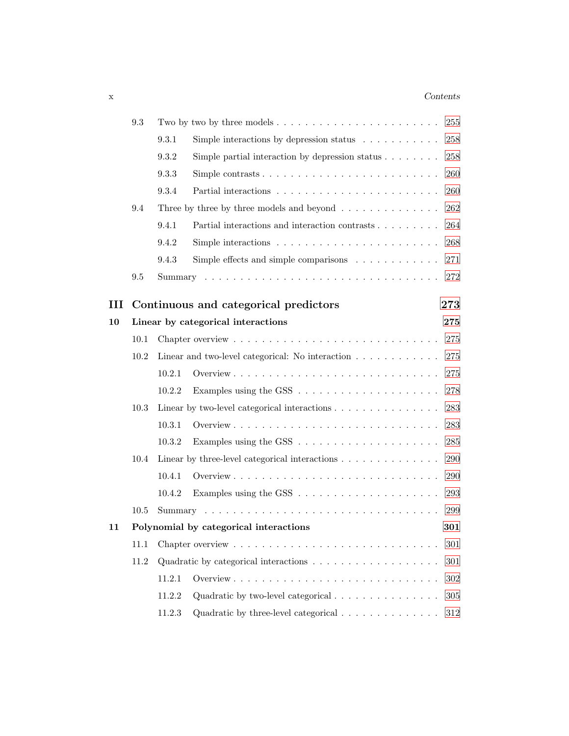### x *Contents*

|    | 9.3  |        | Two by two by three models $\dots \dots \dots \dots \dots \dots \dots \dots \dots$ | 255     |
|----|------|--------|------------------------------------------------------------------------------------|---------|
|    |      | 9.3.1  | Simple interactions by depression status $\ldots \ldots \ldots$                    | 258     |
|    |      | 9.3.2  | Simple partial interaction by depression status $\ldots \ldots \ldots$             | 258     |
|    |      | 9.3.3  | Simple contrasts $\dots \dots \dots \dots \dots \dots \dots \dots \dots \dots$     | 260     |
|    |      | 9.3.4  |                                                                                    | 260     |
|    | 9.4  |        | Three by three by three models and beyond $\ldots \ldots \ldots \ldots$            | 262     |
|    |      | 9.4.1  | Partial interactions and interaction contrasts                                     | 264     |
|    |      | 9.4.2  | Simple interactions $\dots \dots \dots \dots \dots \dots \dots \dots$              | 268     |
|    |      | 9.4.3  | Simple effects and simple comparisons $\ldots \ldots \ldots \ldots$                | 271     |
|    | 9.5  |        |                                                                                    | 272     |
|    |      |        |                                                                                    |         |
| Ш  |      |        | Continuous and categorical predictors                                              | 273     |
| 10 |      |        | Linear by categorical interactions                                                 | 275     |
|    | 10.1 |        |                                                                                    | 275     |
|    | 10.2 |        | Linear and two-level categorical: No interaction                                   | 275     |
|    |      | 10.2.1 |                                                                                    | 275     |
|    |      | 10.2.2 |                                                                                    | 278     |
|    | 10.3 |        | Linear by two-level categorical interactions $\dots \dots \dots \dots \dots$       | 283     |
|    |      | 10.3.1 |                                                                                    | 283     |
|    |      | 10.3.2 |                                                                                    | 285     |
|    | 10.4 |        | Linear by three-level categorical interactions $\ldots \ldots \ldots \ldots$       | 290     |
|    |      | 10.4.1 |                                                                                    | 290     |
|    |      | 10.4.2 |                                                                                    | 293     |
|    | 10.5 |        |                                                                                    | 299     |
| 11 |      |        | Polynomial by categorical interactions                                             | 301     |
|    | 11.1 |        |                                                                                    | 301     |
|    | 11.2 |        |                                                                                    | $301\,$ |
|    |      | 11.2.1 |                                                                                    | $302\,$ |
|    |      | 11.2.2 | Quadratic by two-level categorical $\ldots \ldots \ldots \ldots \ldots$            | 305     |
|    |      | 11.2.3 | Quadratic by three-level categorical                                               | $312\,$ |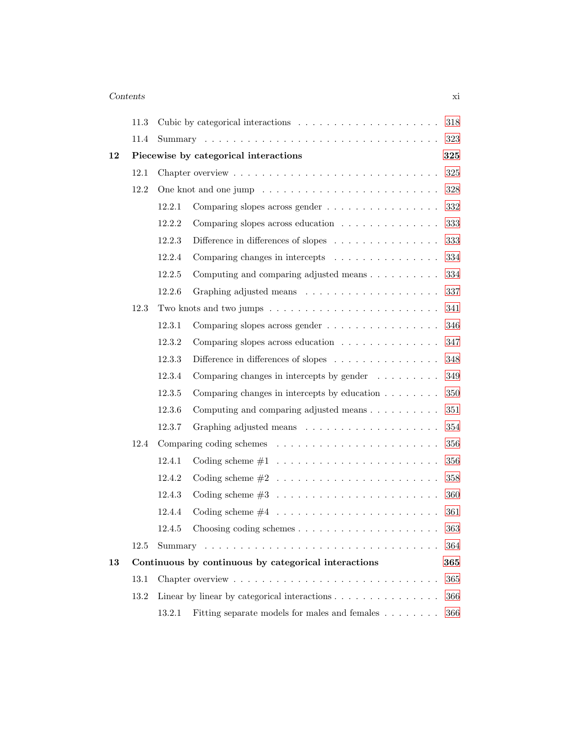| Contents | X1 |
|----------|----|
|          |    |

| 11.3 |        |                                                                  | 318                                                                                                                                                                                     |
|------|--------|------------------------------------------------------------------|-----------------------------------------------------------------------------------------------------------------------------------------------------------------------------------------|
| 11.4 |        |                                                                  | 323                                                                                                                                                                                     |
|      |        |                                                                  | 325                                                                                                                                                                                     |
| 12.1 |        |                                                                  | 325                                                                                                                                                                                     |
| 12.2 |        |                                                                  | 328                                                                                                                                                                                     |
|      | 12.2.1 | Comparing slopes across gender                                   | 332                                                                                                                                                                                     |
|      | 12.2.2 | Comparing slopes across education                                | 333                                                                                                                                                                                     |
|      | 12.2.3 | Difference in differences of slopes                              | 333                                                                                                                                                                                     |
|      | 12.2.4 | Comparing changes in intercepts                                  | 334                                                                                                                                                                                     |
|      | 12.2.5 | Computing and comparing adjusted means                           | 334                                                                                                                                                                                     |
|      | 12.2.6 |                                                                  | 337                                                                                                                                                                                     |
| 12.3 |        |                                                                  | 341                                                                                                                                                                                     |
|      | 12.3.1 | Comparing slopes across gender                                   | 346                                                                                                                                                                                     |
|      | 12.3.2 | Comparing slopes across education                                | 347                                                                                                                                                                                     |
|      | 12.3.3 | Difference in differences of slopes                              | 348                                                                                                                                                                                     |
|      | 12.3.4 | Comparing changes in intercepts by gender $\ldots \ldots \ldots$ | 349                                                                                                                                                                                     |
|      | 12.3.5 | Comparing changes in intercepts by education $\ldots \ldots$     | 350                                                                                                                                                                                     |
|      | 12.3.6 | Computing and comparing adjusted means                           | 351                                                                                                                                                                                     |
|      | 12.3.7 |                                                                  | 354                                                                                                                                                                                     |
| 12.4 |        |                                                                  | 356                                                                                                                                                                                     |
|      | 12.4.1 |                                                                  | 356                                                                                                                                                                                     |
|      | 12.4.2 |                                                                  | 358                                                                                                                                                                                     |
|      | 12.4.3 |                                                                  | 360                                                                                                                                                                                     |
|      | 12.4.4 |                                                                  | 361                                                                                                                                                                                     |
|      |        | Choosing coding schemes                                          | 363                                                                                                                                                                                     |
| 12.5 |        |                                                                  | 364                                                                                                                                                                                     |
|      |        |                                                                  | 365                                                                                                                                                                                     |
| 13.1 |        |                                                                  | 365                                                                                                                                                                                     |
| 13.2 |        |                                                                  | 366                                                                                                                                                                                     |
|      | 13.2.1 | Fitting separate models for males and females                    | 366                                                                                                                                                                                     |
|      |        |                                                                  | Piecewise by categorical interactions<br>12.4.5<br>Continuous by continuous by categorical interactions<br>Linear by linear by categorical interactions $\dots \dots \dots \dots \dots$ |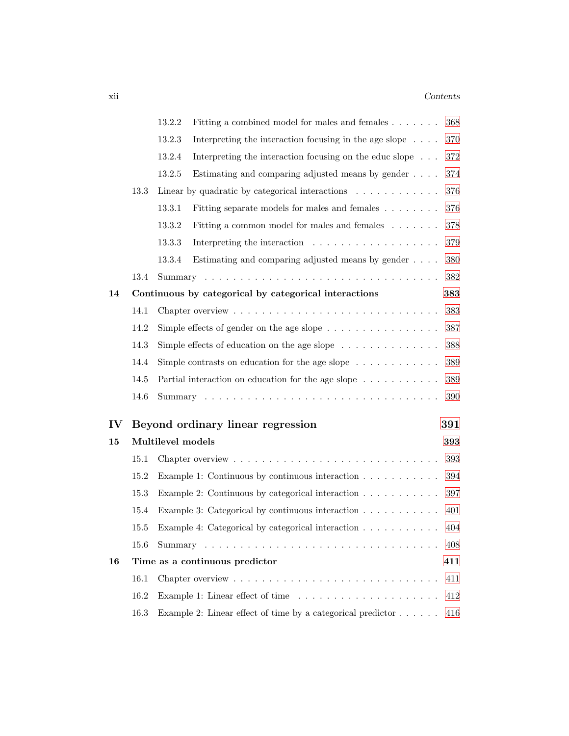|               |      | 13.2.2<br>Fitting a combined model for males and females<br>368                                  |
|---------------|------|--------------------------------------------------------------------------------------------------|
|               |      | 13.2.3<br>Interpreting the interaction focusing in the age slope $\ldots$ .<br>370               |
|               |      | Interpreting the interaction focusing on the educ slope<br>13.2.4<br>372                         |
|               |      | 13.2.5<br>Estimating and comparing adjusted means by gender<br>374                               |
|               | 13.3 | 376<br>Linear by quadratic by categorical interactions $\ldots \ldots \ldots \ldots$             |
|               |      | 13.3.1<br>Fitting separate models for males and females<br>376                                   |
|               |      | 13.3.2<br>Fitting a common model for males and females<br>378                                    |
|               |      | 13.3.3<br>379                                                                                    |
|               |      | Estimating and comparing adjusted means by gender $\ldots$ .<br>380<br>13.3.4                    |
|               | 13.4 | 382                                                                                              |
| 14            |      | Continuous by categorical by categorical interactions<br>383                                     |
|               | 14.1 | 383                                                                                              |
|               | 14.2 | Simple effects of gender on the age slope $\dots \dots \dots \dots \dots$<br>387                 |
|               | 14.3 | Simple effects of education on the age slope $\dots \dots \dots \dots$<br>388                    |
|               | 14.4 | Simple contrasts on education for the age slope $\dots \dots \dots \dots$<br>389                 |
|               | 14.5 | Partial interaction on education for the age slope $\hfill\ldots\ldots\ldots\ldots\ldots$<br>389 |
|               | 14.6 | 390                                                                                              |
| $\mathbf{IV}$ |      | Beyond ordinary linear regression<br>391                                                         |
| 15            |      | Multilevel models<br>393                                                                         |
|               | 15.1 | 393                                                                                              |
|               | 15.2 | Example 1: Continuous by continuous interaction $\ldots \ldots \ldots$<br>394                    |
|               | 15.3 | Example 2: Continuous by categorical interaction $\ldots \ldots \ldots$<br>397                   |
|               | 15.4 | Example 3: Categorical by continuous interaction<br>401                                          |
|               | 15.5 | Example 4: Categorical by categorical interaction $\ldots \ldots \ldots$<br>404                  |
|               | 15.6 | 408                                                                                              |
| 16            |      | Time as a continuous predictor<br>411                                                            |
|               | 16.1 | 411                                                                                              |
|               | 16.2 | 412                                                                                              |
|               | 16.3 | Example 2: Linear effect of time by a categorical predictor $\ldots \ldots$<br>416               |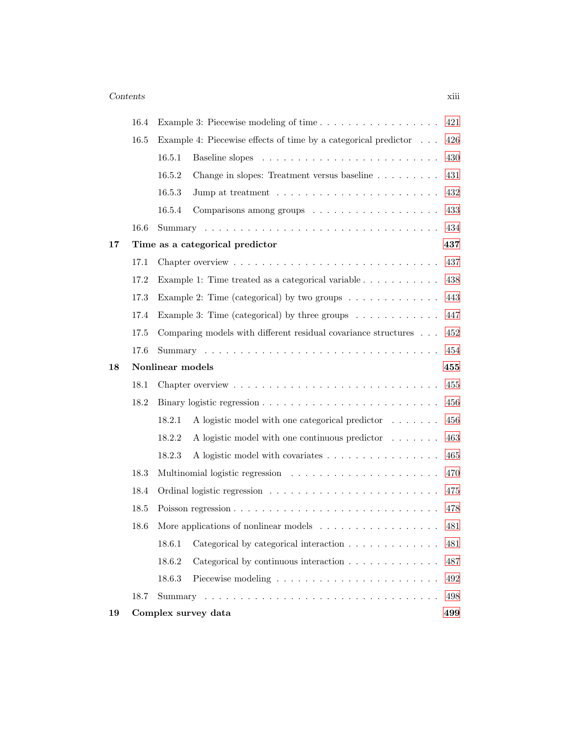|    | 16.4 | 421<br>Example 3: Piecewise modeling of time                                               |  |
|----|------|--------------------------------------------------------------------------------------------|--|
|    | 16.5 | Example 4: Piecewise effects of time by a categorical predictor<br>426                     |  |
|    |      | 430<br>16.5.1                                                                              |  |
|    |      | 16.5.2<br>Change in slopes: Treatment versus baseline<br>431                               |  |
|    |      | 432<br>16.5.3<br>Jump at treatment $\dots \dots \dots \dots \dots \dots \dots \dots \dots$ |  |
|    |      | 433<br>16.5.4                                                                              |  |
|    | 16.6 | 434                                                                                        |  |
| 17 |      | Time as a categorical predictor<br>437                                                     |  |
|    | 17.1 | 437                                                                                        |  |
|    | 17.2 | 438<br>Example 1: Time treated as a categorical variable $\ldots \ldots \ldots$            |  |
|    | 17.3 | Example 2: Time (categorical) by two groups $\dots \dots \dots \dots$<br>443               |  |
|    | 17.4 | 447<br>Example 3: Time (categorical) by three groups $\dots \dots \dots \dots$             |  |
|    | 17.5 | Comparing models with different residual covariance structures<br>452                      |  |
|    | 17.6 | 454                                                                                        |  |
| 18 |      | Nonlinear models<br>455                                                                    |  |
|    | 18.1 | 455                                                                                        |  |
|    | 18.2 | 456                                                                                        |  |
|    |      | 18.2.1<br>A logistic model with one categorical predictor<br>456                           |  |
|    |      | A logistic model with one continuous predictor<br>463<br>18.2.2                            |  |
|    |      | A logistic model with covariates<br>465<br>18.2.3                                          |  |
|    | 18.3 | 470                                                                                        |  |
|    | 18.4 | 475                                                                                        |  |
|    | 18.5 | 478                                                                                        |  |
|    | 18.6 | More applications of nonlinear models $\dots \dots \dots \dots \dots \dots$<br>481         |  |
|    |      | 18.6.1<br>Categorical by categorical interaction<br>481                                    |  |
|    |      | 18.6.2<br>Categorical by continuous interaction<br>487                                     |  |
|    |      | 18.6.3<br>492                                                                              |  |
|    | 18.7 | 498                                                                                        |  |
| 19 |      | Complex survey data<br>499                                                                 |  |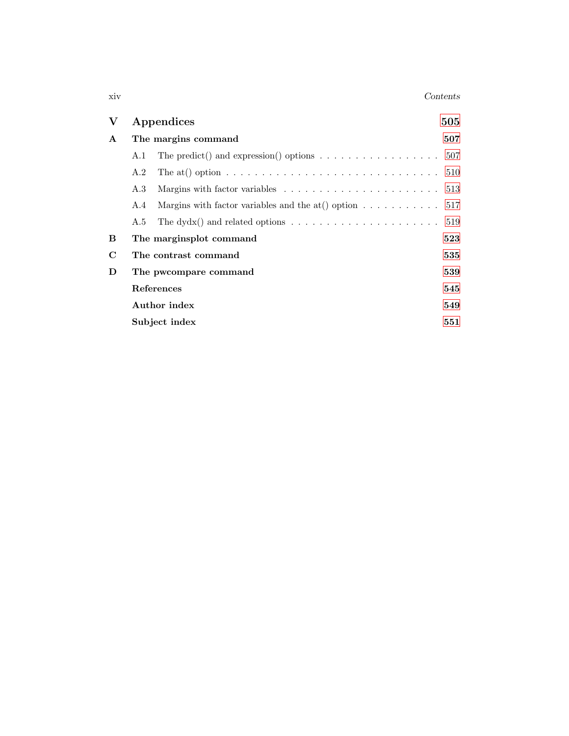### xiv *Contents*

| V            | 505<br>Appendices    |                                                                                                    |     |  |  |  |
|--------------|----------------------|----------------------------------------------------------------------------------------------------|-----|--|--|--|
| $\mathbf{A}$ | The margins command  |                                                                                                    |     |  |  |  |
|              | A.1                  | The predict() and expression() options $\dots \dots \dots \dots \dots \dots \dots \dots \dots 507$ |     |  |  |  |
|              | A.2                  |                                                                                                    |     |  |  |  |
|              | A.3                  | Margins with factor variables $\ldots \ldots \ldots \ldots \ldots \ldots \ldots \ldots 513$        |     |  |  |  |
|              | A.4                  | Margins with factor variables and the at () option $\dots \dots \dots \dots \dots$ 517             |     |  |  |  |
|              | A.5                  | The dydx() and related options $\ldots \ldots \ldots \ldots \ldots \ldots \ldots$                  | 519 |  |  |  |
| B            |                      | The marginsplot command                                                                            | 523 |  |  |  |
| $\mathbf C$  |                      | The contrast command                                                                               | 535 |  |  |  |
| D            |                      | The pwcompare command                                                                              | 539 |  |  |  |
|              | References           |                                                                                                    |     |  |  |  |
|              | Author index         |                                                                                                    |     |  |  |  |
|              | 551<br>Subject index |                                                                                                    |     |  |  |  |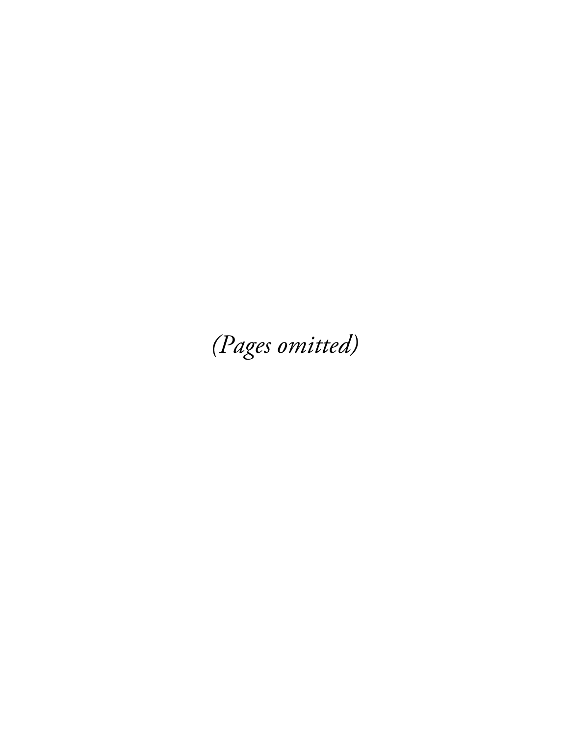(Pages omitted)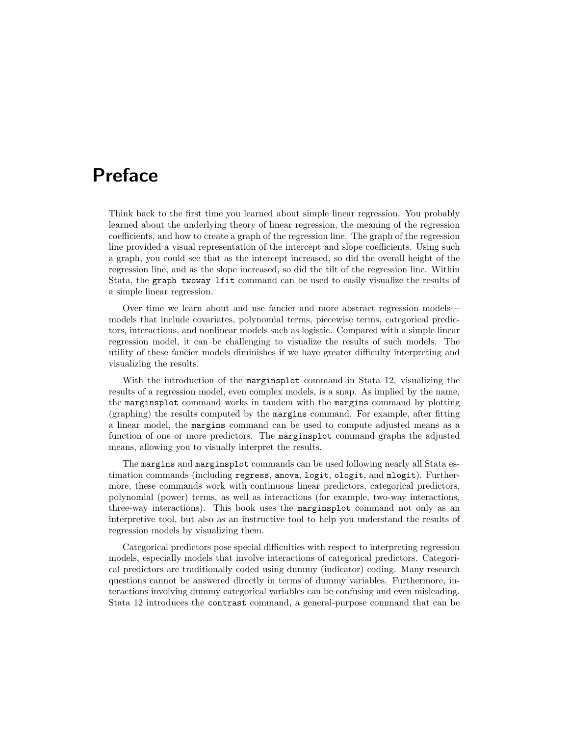### Preface

Think back to the first time you learned about simple linear regression. You probably learned about the underlying theory of linear regression, the meaning of the regression coefficients, and how to create a graph of the regression line. The graph of the regression line provided a visual representation of the intercept and slope coefficients. Using such a graph, you could see that as the intercept increased, so did the overall height of the regression line, and as the slope increased, so did the tilt of the regression line. Within Stata, the graph twoway lfit command can be used to easily visualize the results of a simple linear regression.

Over time we learn about and use fancier and more abstract regression models models that include covariates, polynomial terms, piecewise terms, categorical predictors, interactions, and nonlinear models such as logistic. Compared with a simple linear regression model, it can be challenging to visualize the results of such models. The utility of these fancier models diminishes if we have greater difficulty interpreting and visualizing the results.

With the introduction of the marginsplot command in Stata 12, visualizing the results of a regression model, even complex models, is a snap. As implied by the name, the marginsplot command works in tandem with the margins command by plotting (graphing) the results computed by the margins command. For example, after fitting a linear model, the margins command can be used to compute adjusted means as a function of one or more predictors. The marginsplot command graphs the adjusted means, allowing you to visually interpret the results.

The margins and marginsplot commands can be used following nearly all Stata estimation commands (including regress, anova, logit, ologit, and mlogit). Furthermore, these commands work with continuous linear predictors, categorical predictors, polynomial (power) terms, as well as interactions (for example, two-way interactions, three-way interactions). This book uses the marginsplot command not only as an interpretive tool, but also as an instructive tool to help you understand the results of regression models by visualizing them.

Categorical predictors pose special difficulties with respect to interpreting regression models, especially models that involve interactions of categorical predictors. Categorical predictors are traditionally coded using dummy (indicator) coding. Many research questions cannot be answered directly in terms of dummy variables. Furthermore, interactions involving dummy categorical variables can be confusing and even misleading. Stata 12 introduces the contrast command, a general-purpose command that can be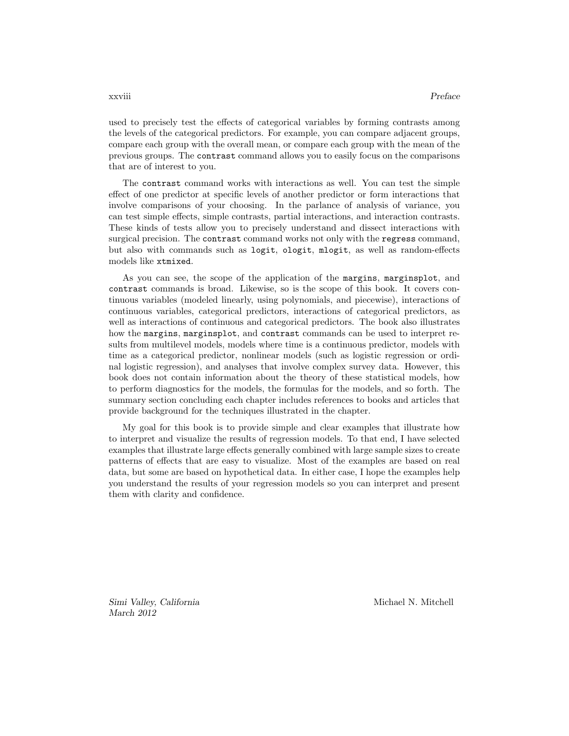used to precisely test the effects of categorical variables by forming contrasts among the levels of the categorical predictors. For example, you can compare adjacent groups, compare each group with the overall mean, or compare each group with the mean of the previous groups. The contrast command allows you to easily focus on the comparisons that are of interest to you.

The contrast command works with interactions as well. You can test the simple effect of one predictor at specific levels of another predictor or form interactions that involve comparisons of your choosing. In the parlance of analysis of variance, you can test simple effects, simple contrasts, partial interactions, and interaction contrasts. These kinds of tests allow you to precisely understand and dissect interactions with surgical precision. The contrast command works not only with the regress command, but also with commands such as logit, ologit, mlogit, as well as random-effects models like xtmixed.

As you can see, the scope of the application of the margins, marginsplot, and contrast commands is broad. Likewise, so is the scope of this book. It covers continuous variables (modeled linearly, using polynomials, and piecewise), interactions of continuous variables, categorical predictors, interactions of categorical predictors, as well as interactions of continuous and categorical predictors. The book also illustrates how the margins, marginsplot, and contrast commands can be used to interpret results from multilevel models, models where time is a continuous predictor, models with time as a categorical predictor, nonlinear models (such as logistic regression or ordinal logistic regression), and analyses that involve complex survey data. However, this book does not contain information about the theory of these statistical models, how to perform diagnostics for the models, the formulas for the models, and so forth. The summary section concluding each chapter includes references to books and articles that provide background for the techniques illustrated in the chapter.

My goal for this book is to provide simple and clear examples that illustrate how to interpret and visualize the results of regression models. To that end, I have selected examples that illustrate large effects generally combined with large sample sizes to create patterns of effects that are easy to visualize. Most of the examples are based on real data, but some are based on hypothetical data. In either case, I hope the examples help you understand the results of your regression models so you can interpret and present them with clarity and confidence.

*Simi Valley, California* Michael N. Mitchell *March 2012*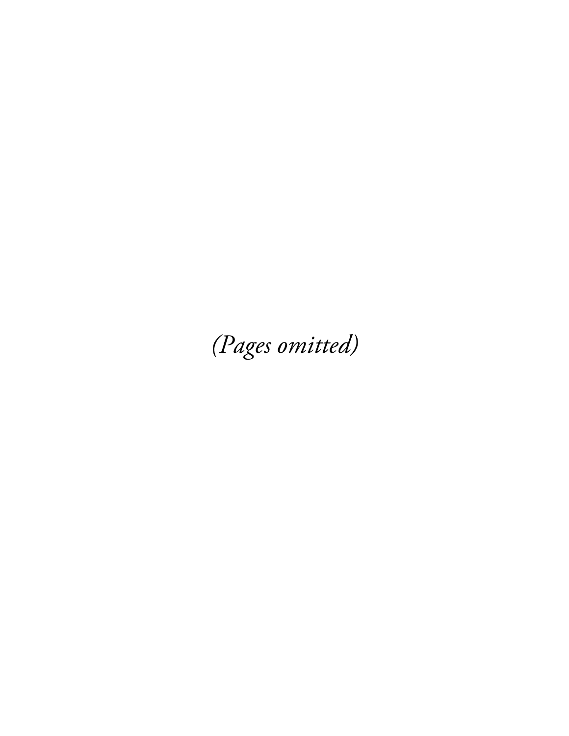(Pages omitted)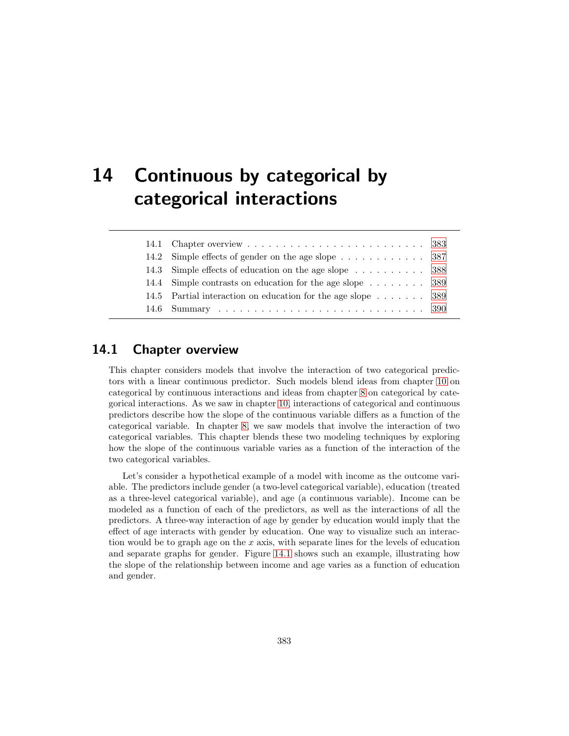## 14 Continuous by categorical by categorical interactions

| 14.3 Simple effects of education on the age slope 388       |  |
|-------------------------------------------------------------|--|
| 14.4 Simple contrasts on education for the age slope 389    |  |
| 14.5 Partial interaction on education for the age slope 389 |  |
|                                                             |  |
|                                                             |  |

### 14.1 Chapter overview

This chapter considers models that involve the interaction of two categorical predictors with a linear continuous predictor. Such models blend ideas from chapter 10 on categorical by continuous interactions and ideas from chapter 8 on categorical by categorical interactions. As we saw in chapter 10, interactions of categorical and continuous predictors describe how the slope of the continuous variable differs as a function of the categorical variable. In chapter 8, we saw models that involve the interaction of two categorical variables. This chapter blends these two modeling techniques by exploring how the slope of the continuous variable varies as a function of the interaction of the two categorical variables.

Let's consider a hypothetical example of a model with income as the outcome variable. The predictors include gender (a two-level categorical variable), education (treated as a three-level categorical variable), and age (a continuous variable). Income can be modeled as a function of each of the predictors, as well as the interactions of all the predictors. A three-way interaction of age by gender by education would imply that the effect of age interacts with gender by education. One way to visualize such an interaction would be to graph age on the  $x$  axis, with separate lines for the levels of education and separate graphs for gender. Figure 14.1 shows such an example, illustrating how the slope of the relationship between income and age varies as a function of education and gender.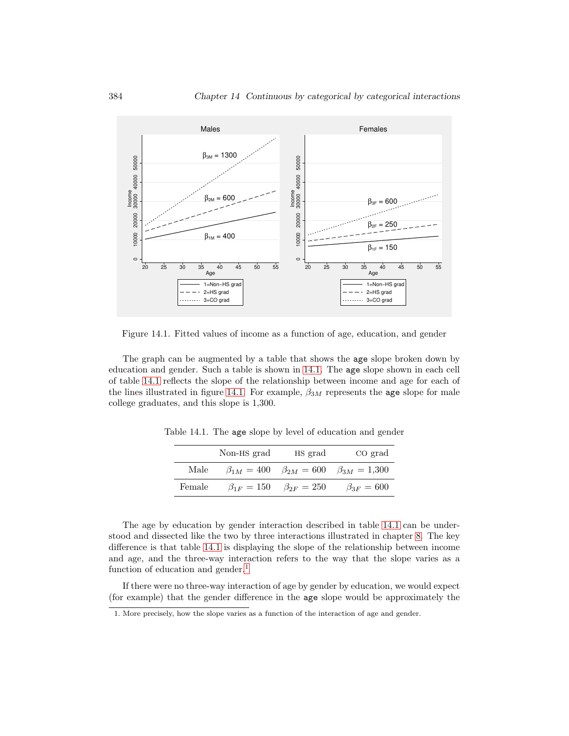

Figure 14.1. Fitted values of income as a function of age, education, and gender

The graph can be augmented by a table that shows the age slope broken down by education and gender. Such a table is shown in 14.1. The age slope shown in each cell of table 14.1 reflects the slope of the relationship between income and age for each of the lines illustrated in figure 14.1. For example,  $\beta_{3M}$  represents the age slope for male college graduates, and this slope is 1,300.

|        | Non-HS grad        | HS grad            | CO grad                                                            |
|--------|--------------------|--------------------|--------------------------------------------------------------------|
| Male   |                    |                    | $\beta_{1M} = 400 \quad \beta_{2M} = 600 \quad \beta_{3M} = 1,300$ |
| Female | $\beta_{1F} = 150$ | $\beta_{2F} = 250$ | $\beta_{3F} = 600$                                                 |

Table 14.1. The age slope by level of education and gender

The age by education by gender interaction described in table 14.1 can be understood and dissected like the two by three interactions illustrated in chapter 8. The key difference is that table 14.1 is displaying the slope of the relationship between income and age, and the three-way interaction refers to the way that the slope varies as a function of education and gender.<sup>1</sup>

If there were no three-way interaction of age by gender by education, we would expect (for example) that the gender difference in the age slope would be approximately the

<sup>1.</sup> More precisely, how the slope varies as a function of the interaction of age and gender.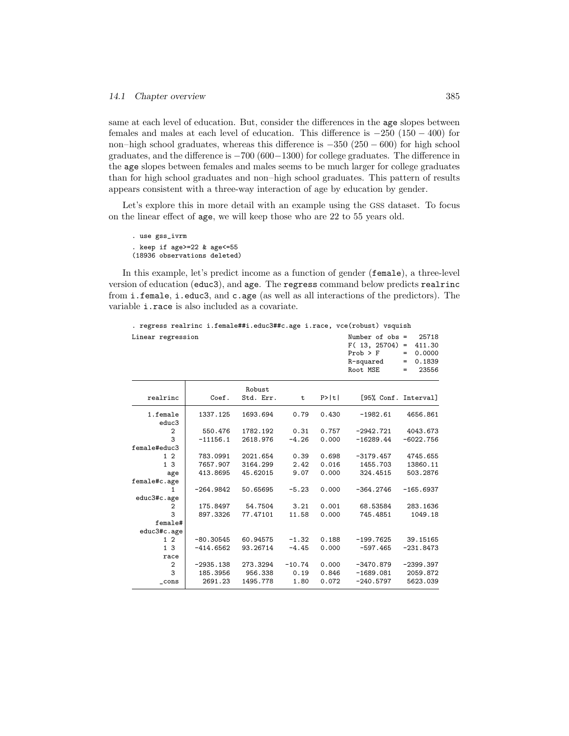### *14.1 Chapter overview* 385

same at each level of education. But, consider the differences in the age slopes between females and males at each level of education. This difference is −250 (150 − 400) for non–high school graduates, whereas this difference is  $-350$  (250  $-600$ ) for high school graduates, and the difference is −700 (600−1300) for college graduates. The difference in the age slopes between females and males seems to be much larger for college graduates than for high school graduates and non–high school graduates. This pattern of results appears consistent with a three-way interaction of age by education by gender.

Let's explore this in more detail with an example using the GSS dataset. To focus on the linear effect of age, we will keep those who are 22 to 55 years old.

. use gss\_ivrm . keep if age>=22 & age<=55 (18936 observations deleted)

In this example, let's predict income as a function of gender (female), a three-level version of education (educ3), and age. The regress command below predicts realrinc from i.female, i.educ3, and c.age (as well as all interactions of the predictors). The variable i.race is also included as a covariate.

. regress realrinc i.female##i.educ3##c.age i.race, vce(robust) vsquish Linear regression  $\mu$  Number of obs = 25718<br>F(13, 25704) = 411.30  $F( 13, 25704 ) = 411.30$ <br>Prob > F = 0.0000  $Prob > F$  = 0.0000<br>R-squared = 0.1839  $R$ -squared Root MSE = 23556 Robust<br>Std. Err. realrinc Coef. Std. Err. t P>|t| [95% Conf. Interval] 1.female 1337.125 1693.694 0.79 0.430 -1982.61 4656.861 educ3 2 550.476 1782.192 0.31 0.757 -2942.721 4043.673  $-16289.44$ female#educ3 1 2 783.0991 2021.654 0.39 0.698 -3179.457 4745.655 1 3 7657.907 3164.299 2.42 0.016 1455.703 13860.11 age 413.8695 45.62015 9.07 0.000 324.4515 503.2876 female#c.age 1 -264.9842 50.65695 -5.23 0.000 -364.2746 -165.6937 educ3#c.age 2 175.8497 54.7504 3.21 0.001 68.53584 283.1636 3 897.3326 77.47101 11.58 0.000 745.4851 1049.18 female# educ3#c.age  $\begin{array}{c|cccccc} 1 & 2 & -80.30545 & 60.94575 & -1.32 & 0.188 & -199.7625 & 39.15165 \\ 1 & 3 & -414.6562 & 93.26714 & -4.45 & 0.000 & -597.465 & -231.8473 \end{array}$  $-414.6562$ race  $2 \mid -2935.138 \mid 273.3294 \mid -10.74 \mid 0.000 \mid -3470.879 \mid -2399.397$ 3 185.3956 956.338 0.19 0.846 -1689.081 2059.872 \_cons 2691.23 1495.778 1.80 0.072 -240.5797 5623.039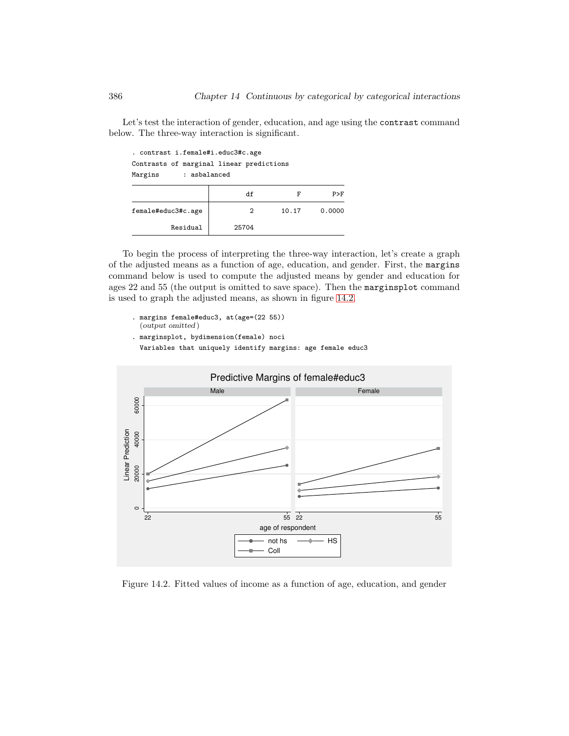Let's test the interaction of gender, education, and age using the contrast command below. The three-way interaction is significant.

| . contrast i.female#i.educ3#c.age        |       |       |        |  |  |  |
|------------------------------------------|-------|-------|--------|--|--|--|
| Contrasts of marginal linear predictions |       |       |        |  |  |  |
| : asbalanced<br>Margins                  |       |       |        |  |  |  |
|                                          | df    | F     | P>F    |  |  |  |
| female#educ3#c.age                       | 2     | 10.17 | 0.0000 |  |  |  |
| Residual                                 | 25704 |       |        |  |  |  |

To begin the process of interpreting the three-way interaction, let's create a graph of the adjusted means as a function of age, education, and gender. First, the margins command below is used to compute the adjusted means by gender and education for ages 22 and 55 (the output is omitted to save space). Then the marginsplot command is used to graph the adjusted means, as shown in figure 14.2.

. margins female#educ3, at(age=(22 55)) (output omitted ) . marginsplot, bydimension(female) noci Variables that uniquely identify margins: age female educ3



Figure 14.2. Fitted values of income as a function of age, education, and gender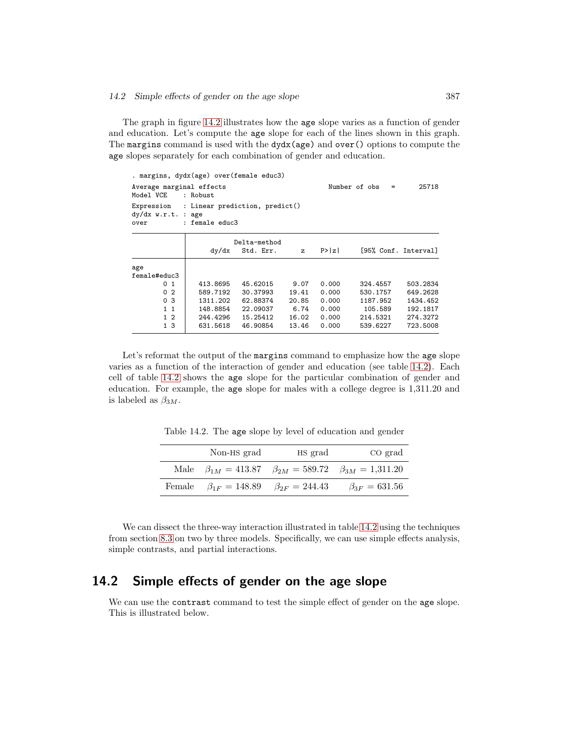The graph in figure 14.2 illustrates how the age slope varies as a function of gender and education. Let's compute the age slope for each of the lines shown in this graph. The margins command is used with the dydx(age) and over() options to compute the age slopes separately for each combination of gender and education.

| . margins, dydx(age) over(female educ3)                                   |                                      |                   |       |        |                   |                      |
|---------------------------------------------------------------------------|--------------------------------------|-------------------|-------|--------|-------------------|----------------------|
| Model VCE                                                                 | Average marginal effects<br>: Robust |                   |       |        | Number of $obs =$ | 25718                |
| Expression : Linear prediction, predict()<br>$dy/dx$ w.r.t. : age<br>over | : female educ3                       |                   |       |        |                   |                      |
|                                                                           |                                      | Delta-method      |       |        |                   |                      |
|                                                                           | dy/dx                                | Std. Err. z       |       | P >  z |                   | [95% Conf. Interval] |
| age                                                                       |                                      |                   |       |        |                   |                      |
| female#educ3                                                              |                                      |                   |       |        |                   |                      |
| 0 <sub>1</sub>                                                            | 413.8695                             | 45.62015          | 9.07  | 0.000  | 324.4557          | 503.2834             |
| 0 <sub>2</sub>                                                            | 589.7192                             | 30.37993          | 19.41 | 0.000  | 530.1757          | 649.2628             |
| 0 <sub>3</sub>                                                            | 1311.202                             | 62.88374          | 20.85 | 0.000  | 1187.952          | 1434.452             |
| $1\quad1$                                                                 | 148.8854                             | 22.09037          | 6.74  | 0.000  | 105.589           | 192.1817             |
| $1\,2$                                                                    |                                      | 244.4296 15.25412 | 16.02 | 0.000  | 214.5321          | 274.3272             |
| 1 3                                                                       | 631.5618                             | 46.90854          | 13.46 | 0.000  | 539.6227          | 723.5008             |

Let's reformat the output of the margins command to emphasize how the age slope varies as a function of the interaction of gender and education (see table 14.2). Each cell of table 14.2 shows the age slope for the particular combination of gender and education. For example, the age slope for males with a college degree is 1,311.20 and is labeled as  $\beta_{3M}$ .

Table 14.2. The age slope by level of education and gender

|        | Non-HS grad           | HS grad               | CO grad                                                                  |
|--------|-----------------------|-----------------------|--------------------------------------------------------------------------|
|        |                       |                       | Male $\beta_{1M} = 413.87$ $\beta_{2M} = 589.72$ $\beta_{3M} = 1,311.20$ |
| Female | $\beta_{1F} = 148.89$ | $\beta_{2F} = 244.43$ | $\beta_{3F} = 631.56$                                                    |

We can dissect the three-way interaction illustrated in table 14.2 using the techniques from section 8.3 on two by three models. Specifically, we can use simple effects analysis, simple contrasts, and partial interactions.

### 14.2 Simple effects of gender on the age slope

We can use the contrast command to test the simple effect of gender on the age slope. This is illustrated below.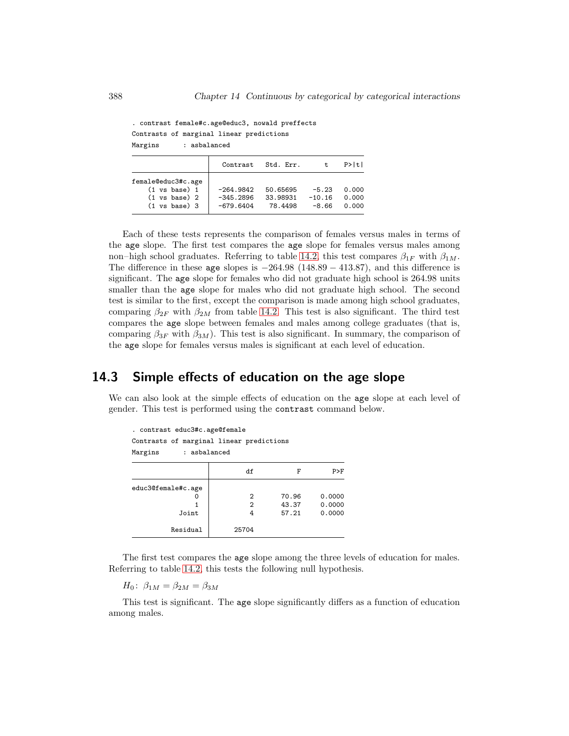. contrast female#c.age@educ3, nowald pveffects Contrasts of marginal linear predictions Margins : asbalanced

|                                                                                                       | Contrast                                  | Std. Err.                       | t                              | P>  t                   |
|-------------------------------------------------------------------------------------------------------|-------------------------------------------|---------------------------------|--------------------------------|-------------------------|
| female@educ3#c.age<br>$(1 \text{ vs } base) 1$<br>$(1 \text{ vs base})$ 2<br>$(1 \text{ vs } base)$ 3 | $-264.9842$<br>$-345.2896$<br>$-679.6404$ | 50.65695<br>33.98931<br>78.4498 | $-5.23$<br>$-10.16$<br>$-8.66$ | 0.000<br>0.000<br>0.000 |

Each of these tests represents the comparison of females versus males in terms of the age slope. The first test compares the age slope for females versus males among non–high school graduates. Referring to table 14.2, this test compares  $\beta_{1F}$  with  $\beta_{1M}$ . The difference in these age slopes is  $-264.98$  (148.89  $-413.87$ ), and this difference is significant. The age slope for females who did not graduate high school is 264.98 units smaller than the age slope for males who did not graduate high school. The second test is similar to the first, except the comparison is made among high school graduates, comparing  $\beta_{2F}$  with  $\beta_{2M}$  from table 14.2. This test is also significant. The third test compares the age slope between females and males among college graduates (that is, comparing  $\beta_{3F}$  with  $\beta_{3M}$ ). This test is also significant. In summary, the comparison of the age slope for females versus males is significant at each level of education.

### 14.3 Simple effects of education on the age slope

We can also look at the simple effects of education on the age slope at each level of gender. This test is performed using the contrast command below.

| . contrast educ3#c.age@female            |       |       |        |  |  |  |
|------------------------------------------|-------|-------|--------|--|--|--|
| Contrasts of marginal linear predictions |       |       |        |  |  |  |
| Margins<br>: asbalanced                  |       |       |        |  |  |  |
|                                          | df    | F     | P>F    |  |  |  |
| educ3@female#c.age                       |       |       |        |  |  |  |
|                                          | 2     | 70.96 | 0.0000 |  |  |  |
|                                          | 2     | 43.37 | 0.0000 |  |  |  |
| Joint                                    | 4     | 57.21 | 0.0000 |  |  |  |
| Residual                                 | 25704 |       |        |  |  |  |

The first test compares the age slope among the three levels of education for males. Referring to table 14.2, this tests the following null hypothesis.

 $H_0$ :  $\beta_{1M} = \beta_{2M} = \beta_{3M}$ 

This test is significant. The age slope significantly differs as a function of education among males.